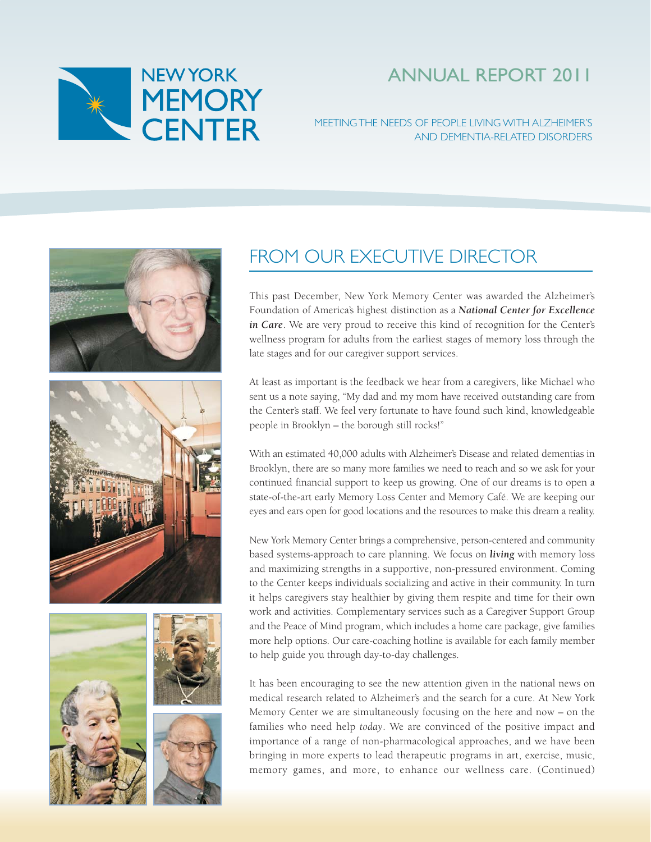

# ANNUAL REPORT 2011

### MEETING THE NEEDS OF PEOPLE LIVING WITH ALZHEIMER'S AND DEMENTIA-RELATED DISORDERS











## FROM OUR EXECUTIVE DIRECTOR

This past December, New York Memory Center was awarded the Alzheimer's Foundation of America's highest distinction as a *National Center for Excellence in Care*. We are very proud to receive this kind of recognition for the Center's wellness program for adults from the earliest stages of memory loss through the late stages and for our caregiver support services.

At least as important is the feedback we hear from a caregivers, like Michael who sent us a note saying, "My dad and my mom have received outstanding care from the Center's staff. We feel very fortunate to have found such kind, knowledgeable people in Brooklyn – the borough still rocks!"

With an estimated 40,000 adults with Alzheimer's Disease and related dementias in Brooklyn, there are so many more families we need to reach and so we ask for your continued financial support to keep us growing. One of our dreams is to open a state-of-the-art early Memory Loss Center and Memory Café. We are keeping our eyes and ears open for good locations and the resources to make this dream a reality.

New York Memory Center brings a comprehensive, person-centered and community based systems-approach to care planning. We focus on *living* with memory loss and maximizing strengths in a supportive, non-pressured environment. Coming to the Center keeps individuals socializing and active in their community. In turn it helps caregivers stay healthier by giving them respite and time for their own work and activities. Complementary services such as a Caregiver Support Group and the Peace of Mind program, which includes a home care package, give families more help options. Our care-coaching hotline is available for each family member to help guide you through day-to-day challenges.

It has been encouraging to see the new attention given in the national news on medical research related to Alzheimer's and the search for a cure. At New York Memory Center we are simultaneously focusing on the here and now – on the families who need help *today*. We are convinced of the positive impact and importance of a range of non-pharmacological approaches, and we have been bringing in more experts to lead therapeutic programs in art, exercise, music, memory games, and more, to enhance our wellness care. (Continued)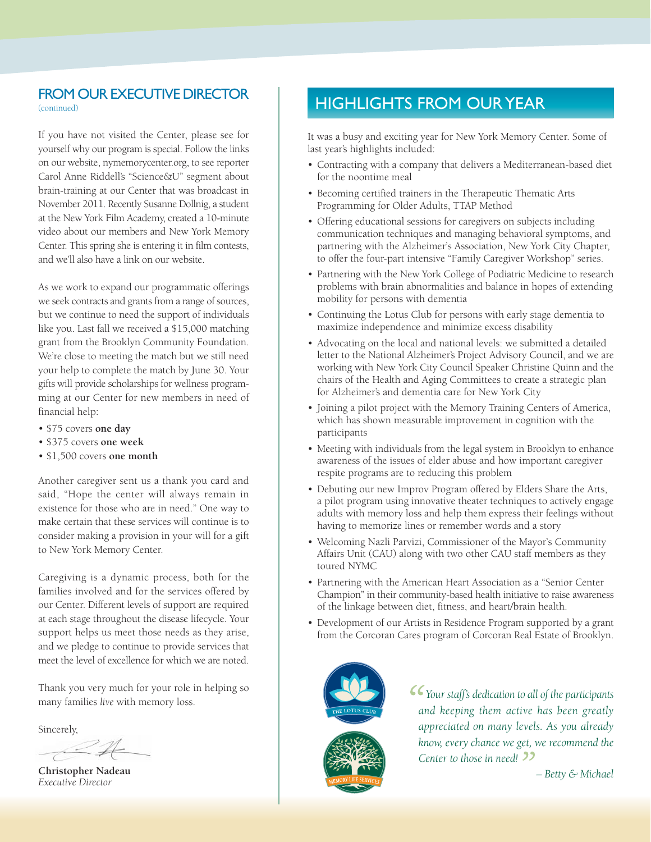## FROM OUR EXECUTIVE DIRECTOR

(continued)

If you have not visited the Center, please see for yourself why our program is special. Follow the links on our website, nymemorycenter.org, to see reporter Carol Anne Riddell's "Science&U" segment about brain-training at our Center that was broadcast in November 2011. Recently Susanne Dollnig, a student at the New York Film Academy, created a 10-minute video about our members and New York Memory Center. This spring she is entering it in film contests, and we'll also have a link on our website.

As we work to expand our programmatic offerings we seek contracts and grants from a range of sources, but we continue to need the support of individuals like you. Last fall we received a \$15,000 matching grant from the Brooklyn Community Foundation. We're close to meeting the match but we still need your help to complete the match by June 30. Your gifts will provide scholarships for wellness programming at our Center for new members in need of financial help:

- \$75 covers **one day**
- \$375 covers **one week**
- \$1,500 covers **one month**

Another caregiver sent us a thank you card and said, "Hope the center will always remain in existence for those who are in need." One way to make certain that these services will continue is to consider making a provision in your will for a gift to New York Memory Center.

Caregiving is a dynamic process, both for the families involved and for the services offered by our Center. Different levels of support are required at each stage throughout the disease lifecycle. Your support helps us meet those needs as they arise, and we pledge to continue to provide services that meet the level of excellence for which we are noted.

Thank you very much for your role in helping so many families *live* with memory loss.

Sincerely,

**Christopher Nadeau** *Executive Director*

## HIGHLIGHTS FROM OUR YEAR

It was a busy and exciting year for New York Memory Center. Some of last year's highlights included:

- Contracting with a company that delivers a Mediterranean-based diet for the noontime meal
- Becoming certified trainers in the Therapeutic Thematic Arts Programming for Older Adults, TTAP Method
- Offering educational sessions for caregivers on subjects including communication techniques and managing behavioral symptoms, and partnering with the Alzheimer's Association, New York City Chapter, to offer the four-part intensive "Family Caregiver Workshop" series.
- Partnering with the New York College of Podiatric Medicine to research problems with brain abnormalities and balance in hopes of extending mobility for persons with dementia
- Continuing the Lotus Club for persons with early stage dementia to maximize independence and minimize excess disability
- Advocating on the local and national levels: we submitted a detailed letter to the National Alzheimer's Project Advisory Council, and we are working with New York City Council Speaker Christine Quinn and the chairs of the Health and Aging Committees to create a strategic plan for Alzheimer's and dementia care for New York City
- Joining a pilot project with the Memory Training Centers of America, which has shown measurable improvement in cognition with the participants
- Meeting with individuals from the legal system in Brooklyn to enhance awareness of the issues of elder abuse and how important caregiver respite programs are to reducing this problem
- Debuting our new Improv Program offered by Elders Share the Arts, a pilot program using innovative theater techniques to actively engage adults with memory loss and help them express their feelings without having to memorize lines or remember words and a story
- Welcoming Nazli Parvizi, Commissioner of the Mayor's Community Affairs Unit (CAU) along with two other CAU staff members as they toured NYMC
- Partnering with the American Heart Association as a "Senior Center Champion" in their community-based health initiative to raise awareness of the linkage between diet, fitness, and heart/brain health.
- Development of our Artists in Residence Program supported by a grant from the Corcoran Cares program of Corcoran Real Estate of Brooklyn.



 *Your staff's dedication to all of the participants and keeping them active has been greatly appreciated on many levels. As you already know, every chance we get, we recommend the Center to those in need!*

*– Betty & Michael*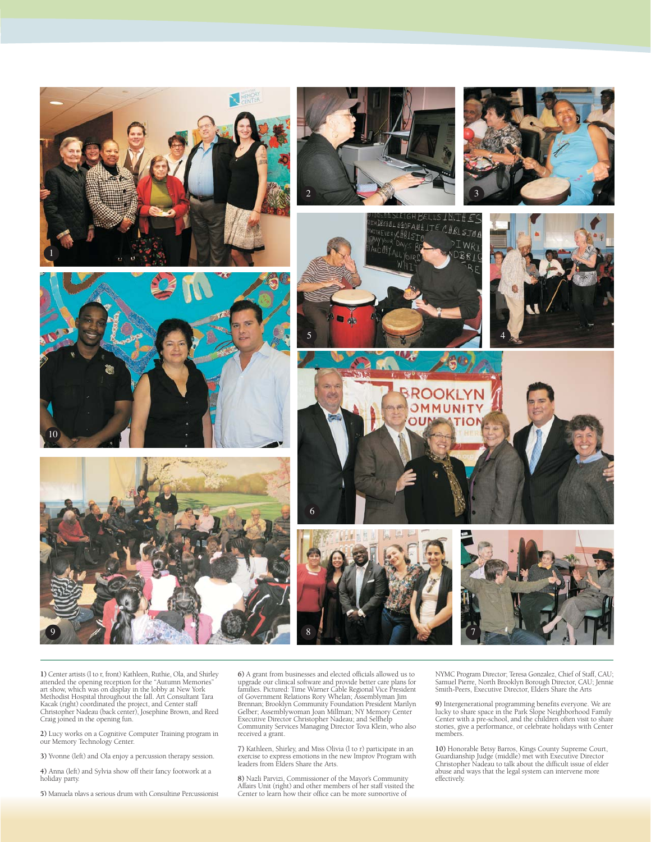

**1)** Center artists (l to r, front) Kathleen, Ruthie, Ola, and Shirley attended the opening reception for the "Autumn Memories"<br>art show, which was on display in the lobby at New York<br>Methodist Hospital throughout the fall. Art Consultant Tara<br>Kacak (right) coordinated the project, and Center Christopher Nadeau (back center), Josephine Brown, and Reed Craig joined in the opening fun.

**2)** Lucy works on a Cognitive Computer Training program in our Memory Technology Center.

**3)** Yvonne (left) and Ola enjoy a percussion therapy session.

**4)** Anna (left) and Sylvia show off their fancy footwork at a holiday party.

**5)** Manuela plays a serious drum with Consulting Percussionist

**6)** A grant from businesses and elected officials allowed us to upgrade our clinical software and provide better care plans for families. Pictured: Time Warner Cable Regional Vice President of Government Relations Rory Whelan; Assemblyman Jim Brennan; Brooklyn Community Foundation President Marilyn Gelber; Assemblywoman Joan Millman; NY Memory Center Executive Director Christopher Nadeau; and Selfhelp Community Services Managing Director Tova Klein, who also received a grant.

**7)** Kathleen, Shirley, and Miss Olivia (l to r) participate in an exercise to express emotions in the new Improv Program with leaders from Elders Share the Arts.

**8)** Nazli Parvizi, Commissioner of the Mayor's Community Affairs Unit (right) and other members of her staff visited the Center to learn how their office can be more supportive of

NYMC Program Director; Teresa Gonzalez, Chief of Staff, CAU; Samuel Pierre, North Brooklyn Borough Director, CAU; Jennie Smith-Peers, Executive Director, Elders Share the Arts

**9)** Intergenerational programming benefits everyone. We are lucky to share space in the Park Slope Neighborhood Family Center with a pre-school, and the children often visit to share stories, give a performance, or celebrate holidays with Center members.

**10)** Honorable Betsy Barros, Kings County Supreme Court, Guardianship Judge (middle) met with Executive Director Christopher Nadeau to talk about the difficult issue of elder abuse and ways that the legal system can intervene more effectively.